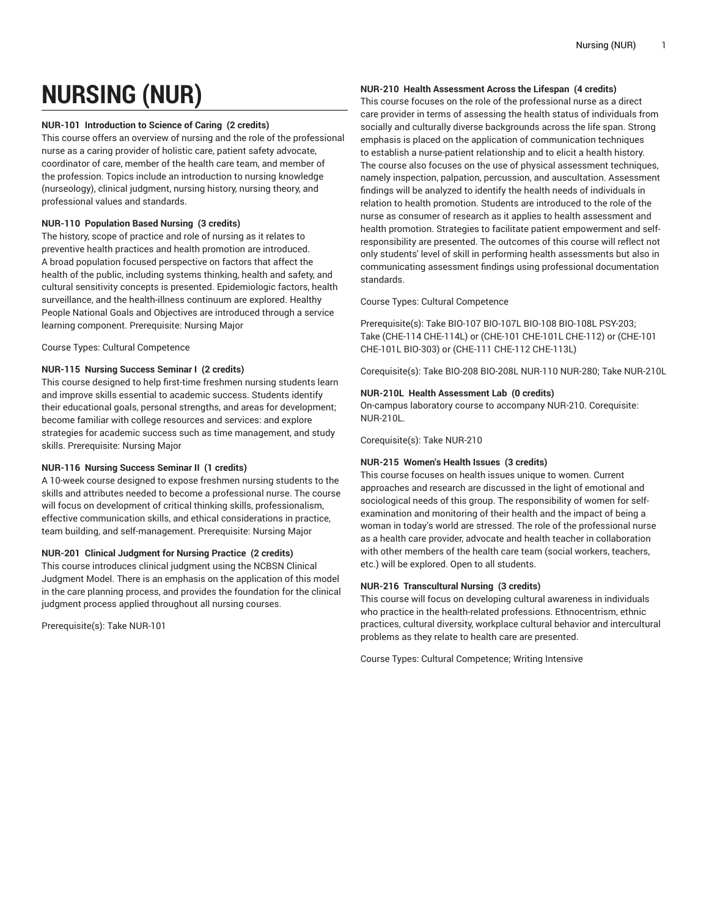# **NURSING (NUR)**

## **NUR-101 Introduction to Science of Caring (2 credits)**

This course offers an overview of nursing and the role of the professional nurse as a caring provider of holistic care, patient safety advocate, coordinator of care, member of the health care team, and member of the profession. Topics include an introduction to nursing knowledge (nurseology), clinical judgment, nursing history, nursing theory, and professional values and standards.

# **NUR-110 Population Based Nursing (3 credits)**

The history, scope of practice and role of nursing as it relates to preventive health practices and health promotion are introduced. A broad population focused perspective on factors that affect the health of the public, including systems thinking, health and safety, and cultural sensitivity concepts is presented. Epidemiologic factors, health surveillance, and the health-illness continuum are explored. Healthy People National Goals and Objectives are introduced through a service learning component. Prerequisite: Nursing Major

Course Types: Cultural Competence

# **NUR-115 Nursing Success Seminar I (2 credits)**

This course designed to help first-time freshmen nursing students learn and improve skills essential to academic success. Students identify their educational goals, personal strengths, and areas for development; become familiar with college resources and services: and explore strategies for academic success such as time management, and study skills. Prerequisite: Nursing Major

# **NUR-116 Nursing Success Seminar II (1 credits)**

A 10-week course designed to expose freshmen nursing students to the skills and attributes needed to become a professional nurse. The course will focus on development of critical thinking skills, professionalism, effective communication skills, and ethical considerations in practice, team building, and self-management. Prerequisite: Nursing Major

# **NUR-201 Clinical Judgment for Nursing Practice (2 credits)**

This course introduces clinical judgment using the NCBSN Clinical Judgment Model. There is an emphasis on the application of this model in the care planning process, and provides the foundation for the clinical judgment process applied throughout all nursing courses.

Prerequisite(s): Take NUR-101

# **NUR-210 Health Assessment Across the Lifespan (4 credits)**

This course focuses on the role of the professional nurse as a direct care provider in terms of assessing the health status of individuals from socially and culturally diverse backgrounds across the life span. Strong emphasis is placed on the application of communication techniques to establish a nurse-patient relationship and to elicit a health history. The course also focuses on the use of physical assessment techniques, namely inspection, palpation, percussion, and auscultation. Assessment findings will be analyzed to identify the health needs of individuals in relation to health promotion. Students are introduced to the role of the nurse as consumer of research as it applies to health assessment and health promotion. Strategies to facilitate patient empowerment and selfresponsibility are presented. The outcomes of this course will reflect not only students' level of skill in performing health assessments but also in communicating assessment findings using professional documentation standards.

Course Types: Cultural Competence

Prerequisite(s): Take BIO-107 BIO-107L BIO-108 BIO-108L PSY-203; Take (CHE-114 CHE-114L) or (CHE-101 CHE-101L CHE-112) or (CHE-101 CHE-101L BIO-303) or (CHE-111 CHE-112 CHE-113L)

Corequisite(s): Take BIO-208 BIO-208L NUR-110 NUR-280; Take NUR-210L

# **NUR-210L Health Assessment Lab (0 credits)**

On-campus laboratory course to accompany NUR-210. Corequisite: NUR-210L.

Corequisite(s): Take NUR-210

# **NUR-215 Women's Health Issues (3 credits)**

This course focuses on health issues unique to women. Current approaches and research are discussed in the light of emotional and sociological needs of this group. The responsibility of women for selfexamination and monitoring of their health and the impact of being a woman in today's world are stressed. The role of the professional nurse as a health care provider, advocate and health teacher in collaboration with other members of the health care team (social workers, teachers, etc.) will be explored. Open to all students.

## **NUR-216 Transcultural Nursing (3 credits)**

This course will focus on developing cultural awareness in individuals who practice in the health-related professions. Ethnocentrism, ethnic practices, cultural diversity, workplace cultural behavior and intercultural problems as they relate to health care are presented.

Course Types: Cultural Competence; Writing Intensive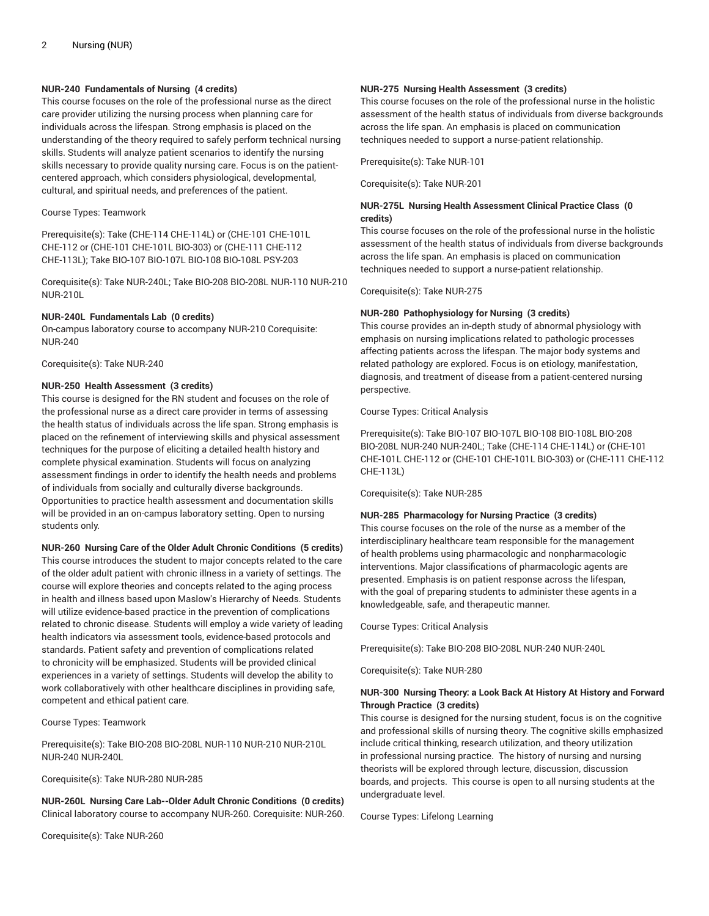## **NUR-240 Fundamentals of Nursing (4 credits)**

This course focuses on the role of the professional nurse as the direct care provider utilizing the nursing process when planning care for individuals across the lifespan. Strong emphasis is placed on the understanding of the theory required to safely perform technical nursing skills. Students will analyze patient scenarios to identify the nursing skills necessary to provide quality nursing care. Focus is on the patientcentered approach, which considers physiological, developmental, cultural, and spiritual needs, and preferences of the patient.

#### Course Types: Teamwork

Prerequisite(s): Take (CHE-114 CHE-114L) or (CHE-101 CHE-101L CHE-112 or (CHE-101 CHE-101L BIO-303) or (CHE-111 CHE-112 CHE-113L); Take BIO-107 BIO-107L BIO-108 BIO-108L PSY-203

Corequisite(s): Take NUR-240L; Take BIO-208 BIO-208L NUR-110 NUR-210 NUR-210L

#### **NUR-240L Fundamentals Lab (0 credits)**

On-campus laboratory course to accompany NUR-210 Corequisite: NUR-240

Corequisite(s): Take NUR-240

## **NUR-250 Health Assessment (3 credits)**

This course is designed for the RN student and focuses on the role of the professional nurse as a direct care provider in terms of assessing the health status of individuals across the life span. Strong emphasis is placed on the refinement of interviewing skills and physical assessment techniques for the purpose of eliciting a detailed health history and complete physical examination. Students will focus on analyzing assessment findings in order to identify the health needs and problems of individuals from socially and culturally diverse backgrounds. Opportunities to practice health assessment and documentation skills will be provided in an on-campus laboratory setting. Open to nursing students only.

#### **NUR-260 Nursing Care of the Older Adult Chronic Conditions (5 credits)**

This course introduces the student to major concepts related to the care of the older adult patient with chronic illness in a variety of settings. The course will explore theories and concepts related to the aging process in health and illness based upon Maslow's Hierarchy of Needs. Students will utilize evidence-based practice in the prevention of complications related to chronic disease. Students will employ a wide variety of leading health indicators via assessment tools, evidence-based protocols and standards. Patient safety and prevention of complications related to chronicity will be emphasized. Students will be provided clinical experiences in a variety of settings. Students will develop the ability to work collaboratively with other healthcare disciplines in providing safe, competent and ethical patient care.

#### Course Types: Teamwork

Prerequisite(s): Take BIO-208 BIO-208L NUR-110 NUR-210 NUR-210L NUR-240 NUR-240L

Corequisite(s): Take NUR-280 NUR-285

**NUR-260L Nursing Care Lab--Older Adult Chronic Conditions (0 credits)** Clinical laboratory course to accompany NUR-260. Corequisite: NUR-260.

Corequisite(s): Take NUR-260

## **NUR-275 Nursing Health Assessment (3 credits)**

This course focuses on the role of the professional nurse in the holistic assessment of the health status of individuals from diverse backgrounds across the life span. An emphasis is placed on communication techniques needed to support a nurse-patient relationship.

Prerequisite(s): Take NUR-101

Corequisite(s): Take NUR-201

# **NUR-275L Nursing Health Assessment Clinical Practice Class (0 credits)**

This course focuses on the role of the professional nurse in the holistic assessment of the health status of individuals from diverse backgrounds across the life span. An emphasis is placed on communication techniques needed to support a nurse-patient relationship.

Corequisite(s): Take NUR-275

## **NUR-280 Pathophysiology for Nursing (3 credits)**

This course provides an in-depth study of abnormal physiology with emphasis on nursing implications related to pathologic processes affecting patients across the lifespan. The major body systems and related pathology are explored. Focus is on etiology, manifestation, diagnosis, and treatment of disease from a patient-centered nursing perspective.

Course Types: Critical Analysis

Prerequisite(s): Take BIO-107 BIO-107L BIO-108 BIO-108L BIO-208 BIO-208L NUR-240 NUR-240L; Take (CHE-114 CHE-114L) or (CHE-101 CHE-101L CHE-112 or (CHE-101 CHE-101L BIO-303) or (CHE-111 CHE-112 CHE-113L)

Corequisite(s): Take NUR-285

## **NUR-285 Pharmacology for Nursing Practice (3 credits)**

This course focuses on the role of the nurse as a member of the interdisciplinary healthcare team responsible for the management of health problems using pharmacologic and nonpharmacologic interventions. Major classifications of pharmacologic agents are presented. Emphasis is on patient response across the lifespan, with the goal of preparing students to administer these agents in a knowledgeable, safe, and therapeutic manner.

Course Types: Critical Analysis

Prerequisite(s): Take BIO-208 BIO-208L NUR-240 NUR-240L

Corequisite(s): Take NUR-280

## **NUR-300 Nursing Theory: a Look Back At History At History and Forward Through Practice (3 credits)**

This course is designed for the nursing student, focus is on the cognitive and professional skills of nursing theory. The cognitive skills emphasized include critical thinking, research utilization, and theory utilization in professional nursing practice. The history of nursing and nursing theorists will be explored through lecture, discussion, discussion boards, and projects. This course is open to all nursing students at the undergraduate level.

Course Types: Lifelong Learning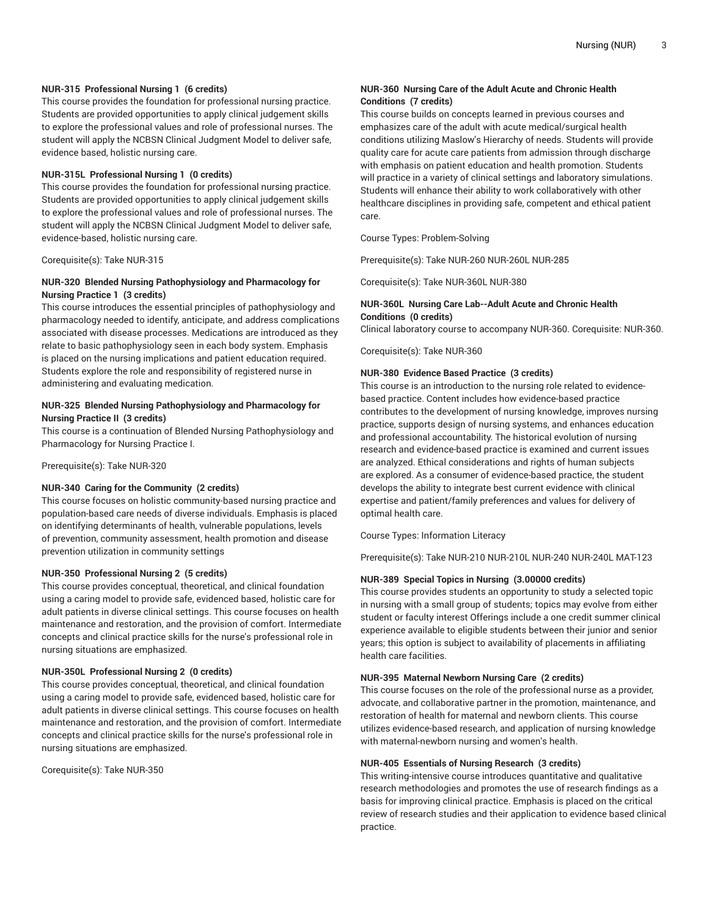# **NUR-315 Professional Nursing 1 (6 credits)**

This course provides the foundation for professional nursing practice. Students are provided opportunities to apply clinical judgement skills to explore the professional values and role of professional nurses. The student will apply the NCBSN Clinical Judgment Model to deliver safe, evidence based, holistic nursing care.

#### **NUR-315L Professional Nursing 1 (0 credits)**

This course provides the foundation for professional nursing practice. Students are provided opportunities to apply clinical judgement skills to explore the professional values and role of professional nurses. The student will apply the NCBSN Clinical Judgment Model to deliver safe, evidence-based, holistic nursing care.

Corequisite(s): Take NUR-315

# **NUR-320 Blended Nursing Pathophysiology and Pharmacology for Nursing Practice 1 (3 credits)**

This course introduces the essential principles of pathophysiology and pharmacology needed to identify, anticipate, and address complications associated with disease processes. Medications are introduced as they relate to basic pathophysiology seen in each body system. Emphasis is placed on the nursing implications and patient education required. Students explore the role and responsibility of registered nurse in administering and evaluating medication.

# **NUR-325 Blended Nursing Pathophysiology and Pharmacology for Nursing Practice II (3 credits)**

This course is a continuation of Blended Nursing Pathophysiology and Pharmacology for Nursing Practice I.

Prerequisite(s): Take NUR-320

#### **NUR-340 Caring for the Community (2 credits)**

This course focuses on holistic community-based nursing practice and population-based care needs of diverse individuals. Emphasis is placed on identifying determinants of health, vulnerable populations, levels of prevention, community assessment, health promotion and disease prevention utilization in community settings

#### **NUR-350 Professional Nursing 2 (5 credits)**

This course provides conceptual, theoretical, and clinical foundation using a caring model to provide safe, evidenced based, holistic care for adult patients in diverse clinical settings. This course focuses on health maintenance and restoration, and the provision of comfort. Intermediate concepts and clinical practice skills for the nurse's professional role in nursing situations are emphasized.

### **NUR-350L Professional Nursing 2 (0 credits)**

This course provides conceptual, theoretical, and clinical foundation using a caring model to provide safe, evidenced based, holistic care for adult patients in diverse clinical settings. This course focuses on health maintenance and restoration, and the provision of comfort. Intermediate concepts and clinical practice skills for the nurse's professional role in nursing situations are emphasized.

Corequisite(s): Take NUR-350

# **NUR-360 Nursing Care of the Adult Acute and Chronic Health Conditions (7 credits)**

This course builds on concepts learned in previous courses and emphasizes care of the adult with acute medical/surgical health conditions utilizing Maslow's Hierarchy of needs. Students will provide quality care for acute care patients from admission through discharge with emphasis on patient education and health promotion. Students will practice in a variety of clinical settings and laboratory simulations. Students will enhance their ability to work collaboratively with other healthcare disciplines in providing safe, competent and ethical patient care.

Course Types: Problem-Solving

Prerequisite(s): Take NUR-260 NUR-260L NUR-285

Corequisite(s): Take NUR-360L NUR-380

# **NUR-360L Nursing Care Lab--Adult Acute and Chronic Health Conditions (0 credits)**

Clinical laboratory course to accompany NUR-360. Corequisite: NUR-360.

Corequisite(s): Take NUR-360

### **NUR-380 Evidence Based Practice (3 credits)**

This course is an introduction to the nursing role related to evidencebased practice. Content includes how evidence-based practice contributes to the development of nursing knowledge, improves nursing practice, supports design of nursing systems, and enhances education and professional accountability. The historical evolution of nursing research and evidence-based practice is examined and current issues are analyzed. Ethical considerations and rights of human subjects are explored. As a consumer of evidence-based practice, the student develops the ability to integrate best current evidence with clinical expertise and patient/family preferences and values for delivery of optimal health care.

Course Types: Information Literacy

Prerequisite(s): Take NUR-210 NUR-210L NUR-240 NUR-240L MAT-123

#### **NUR-389 Special Topics in Nursing (3.00000 credits)**

This course provides students an opportunity to study a selected topic in nursing with a small group of students; topics may evolve from either student or faculty interest Offerings include a one credit summer clinical experience available to eligible students between their junior and senior years; this option is subject to availability of placements in affiliating health care facilities.

## **NUR-395 Maternal Newborn Nursing Care (2 credits)**

This course focuses on the role of the professional nurse as a provider, advocate, and collaborative partner in the promotion, maintenance, and restoration of health for maternal and newborn clients. This course utilizes evidence-based research, and application of nursing knowledge with maternal-newborn nursing and women's health.

#### **NUR-405 Essentials of Nursing Research (3 credits)**

This writing-intensive course introduces quantitative and qualitative research methodologies and promotes the use of research findings as a basis for improving clinical practice. Emphasis is placed on the critical review of research studies and their application to evidence based clinical practice.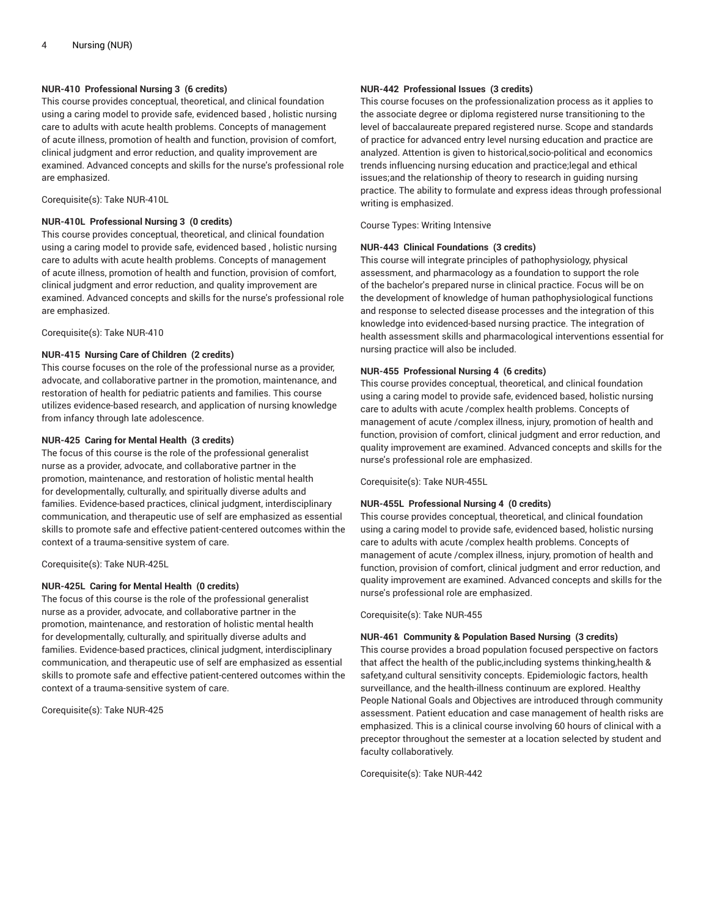## **NUR-410 Professional Nursing 3 (6 credits)**

This course provides conceptual, theoretical, and clinical foundation using a caring model to provide safe, evidenced based , holistic nursing care to adults with acute health problems. Concepts of management of acute illness, promotion of health and function, provision of comfort, clinical judgment and error reduction, and quality improvement are examined. Advanced concepts and skills for the nurse's professional role are emphasized.

Corequisite(s): Take NUR-410L

## **NUR-410L Professional Nursing 3 (0 credits)**

This course provides conceptual, theoretical, and clinical foundation using a caring model to provide safe, evidenced based , holistic nursing care to adults with acute health problems. Concepts of management of acute illness, promotion of health and function, provision of comfort, clinical judgment and error reduction, and quality improvement are examined. Advanced concepts and skills for the nurse's professional role are emphasized.

Corequisite(s): Take NUR-410

# **NUR-415 Nursing Care of Children (2 credits)**

This course focuses on the role of the professional nurse as a provider, advocate, and collaborative partner in the promotion, maintenance, and restoration of health for pediatric patients and families. This course utilizes evidence-based research, and application of nursing knowledge from infancy through late adolescence.

# **NUR-425 Caring for Mental Health (3 credits)**

The focus of this course is the role of the professional generalist nurse as a provider, advocate, and collaborative partner in the promotion, maintenance, and restoration of holistic mental health for developmentally, culturally, and spiritually diverse adults and families. Evidence-based practices, clinical judgment, interdisciplinary communication, and therapeutic use of self are emphasized as essential skills to promote safe and effective patient-centered outcomes within the context of a trauma-sensitive system of care.

Corequisite(s): Take NUR-425L

## **NUR-425L Caring for Mental Health (0 credits)**

The focus of this course is the role of the professional generalist nurse as a provider, advocate, and collaborative partner in the promotion, maintenance, and restoration of holistic mental health for developmentally, culturally, and spiritually diverse adults and families. Evidence-based practices, clinical judgment, interdisciplinary communication, and therapeutic use of self are emphasized as essential skills to promote safe and effective patient-centered outcomes within the context of a trauma-sensitive system of care.

Corequisite(s): Take NUR-425

# **NUR-442 Professional Issues (3 credits)**

This course focuses on the professionalization process as it applies to the associate degree or diploma registered nurse transitioning to the level of baccalaureate prepared registered nurse. Scope and standards of practice for advanced entry level nursing education and practice are analyzed. Attention is given to historical,socio-political and economics trends influencing nursing education and practice;legal and ethical issues;and the relationship of theory to research in guiding nursing practice. The ability to formulate and express ideas through professional writing is emphasized.

Course Types: Writing Intensive

# **NUR-443 Clinical Foundations (3 credits)**

This course will integrate principles of pathophysiology, physical assessment, and pharmacology as a foundation to support the role of the bachelor's prepared nurse in clinical practice. Focus will be on the development of knowledge of human pathophysiological functions and response to selected disease processes and the integration of this knowledge into evidenced-based nursing practice. The integration of health assessment skills and pharmacological interventions essential for nursing practice will also be included.

## **NUR-455 Professional Nursing 4 (6 credits)**

This course provides conceptual, theoretical, and clinical foundation using a caring model to provide safe, evidenced based, holistic nursing care to adults with acute /complex health problems. Concepts of management of acute /complex illness, injury, promotion of health and function, provision of comfort, clinical judgment and error reduction, and quality improvement are examined. Advanced concepts and skills for the nurse's professional role are emphasized.

Corequisite(s): Take NUR-455L

## **NUR-455L Professional Nursing 4 (0 credits)**

This course provides conceptual, theoretical, and clinical foundation using a caring model to provide safe, evidenced based, holistic nursing care to adults with acute /complex health problems. Concepts of management of acute /complex illness, injury, promotion of health and function, provision of comfort, clinical judgment and error reduction, and quality improvement are examined. Advanced concepts and skills for the nurse's professional role are emphasized.

Corequisite(s): Take NUR-455

## **NUR-461 Community & Population Based Nursing (3 credits)**

This course provides a broad population focused perspective on factors that affect the health of the public,including systems thinking,health & safety,and cultural sensitivity concepts. Epidemiologic factors, health surveillance, and the health-illness continuum are explored. Healthy People National Goals and Objectives are introduced through community assessment. Patient education and case management of health risks are emphasized. This is a clinical course involving 60 hours of clinical with a preceptor throughout the semester at a location selected by student and faculty collaboratively.

Corequisite(s): Take NUR-442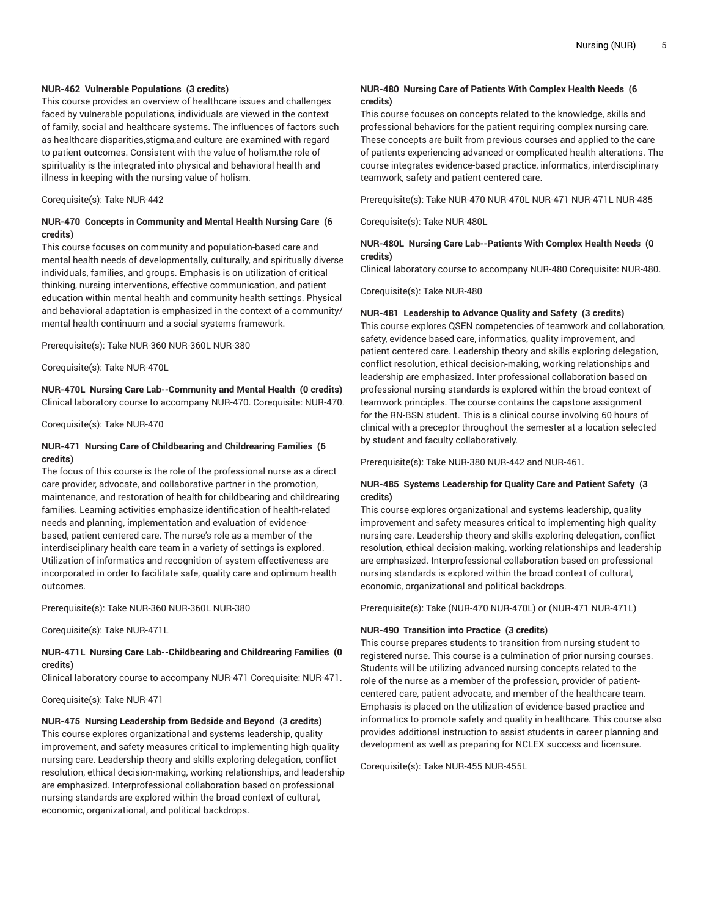## **NUR-462 Vulnerable Populations (3 credits)**

This course provides an overview of healthcare issues and challenges faced by vulnerable populations, individuals are viewed in the context of family, social and healthcare systems. The influences of factors such as healthcare disparities,stigma,and culture are examined with regard to patient outcomes. Consistent with the value of holism,the role of spirituality is the integrated into physical and behavioral health and illness in keeping with the nursing value of holism.

Corequisite(s): Take NUR-442

## **NUR-470 Concepts in Community and Mental Health Nursing Care (6 credits)**

This course focuses on community and population-based care and mental health needs of developmentally, culturally, and spiritually diverse individuals, families, and groups. Emphasis is on utilization of critical thinking, nursing interventions, effective communication, and patient education within mental health and community health settings. Physical and behavioral adaptation is emphasized in the context of a community/ mental health continuum and a social systems framework.

Prerequisite(s): Take NUR-360 NUR-360L NUR-380

Corequisite(s): Take NUR-470L

**NUR-470L Nursing Care Lab--Community and Mental Health (0 credits)** Clinical laboratory course to accompany NUR-470. Corequisite: NUR-470.

Corequisite(s): Take NUR-470

# **NUR-471 Nursing Care of Childbearing and Childrearing Families (6 credits)**

The focus of this course is the role of the professional nurse as a direct care provider, advocate, and collaborative partner in the promotion, maintenance, and restoration of health for childbearing and childrearing families. Learning activities emphasize identification of health-related needs and planning, implementation and evaluation of evidencebased, patient centered care. The nurse's role as a member of the interdisciplinary health care team in a variety of settings is explored. Utilization of informatics and recognition of system effectiveness are incorporated in order to facilitate safe, quality care and optimum health outcomes.

Prerequisite(s): Take NUR-360 NUR-360L NUR-380

Corequisite(s): Take NUR-471L

### **NUR-471L Nursing Care Lab--Childbearing and Childrearing Families (0 credits)**

Clinical laboratory course to accompany NUR-471 Corequisite: NUR-471.

Corequisite(s): Take NUR-471

#### **NUR-475 Nursing Leadership from Bedside and Beyond (3 credits)**

This course explores organizational and systems leadership, quality improvement, and safety measures critical to implementing high-quality nursing care. Leadership theory and skills exploring delegation, conflict resolution, ethical decision-making, working relationships, and leadership are emphasized. Interprofessional collaboration based on professional nursing standards are explored within the broad context of cultural, economic, organizational, and political backdrops.

# **NUR-480 Nursing Care of Patients With Complex Health Needs (6 credits)**

This course focuses on concepts related to the knowledge, skills and professional behaviors for the patient requiring complex nursing care. These concepts are built from previous courses and applied to the care of patients experiencing advanced or complicated health alterations. The course integrates evidence-based practice, informatics, interdisciplinary teamwork, safety and patient centered care.

Prerequisite(s): Take NUR-470 NUR-470L NUR-471 NUR-471L NUR-485

Corequisite(s): Take NUR-480L

## **NUR-480L Nursing Care Lab--Patients With Complex Health Needs (0 credits)**

Clinical laboratory course to accompany NUR-480 Corequisite: NUR-480.

Corequisite(s): Take NUR-480

#### **NUR-481 Leadership to Advance Quality and Safety (3 credits)**

This course explores QSEN competencies of teamwork and collaboration, safety, evidence based care, informatics, quality improvement, and patient centered care. Leadership theory and skills exploring delegation, conflict resolution, ethical decision-making, working relationships and leadership are emphasized. Inter professional collaboration based on professional nursing standards is explored within the broad context of teamwork principles. The course contains the capstone assignment for the RN-BSN student. This is a clinical course involving 60 hours of clinical with a preceptor throughout the semester at a location selected by student and faculty collaboratively.

Prerequisite(s): Take NUR-380 NUR-442 and NUR-461.

# **NUR-485 Systems Leadership for Quality Care and Patient Safety (3 credits)**

This course explores organizational and systems leadership, quality improvement and safety measures critical to implementing high quality nursing care. Leadership theory and skills exploring delegation, conflict resolution, ethical decision-making, working relationships and leadership are emphasized. Interprofessional collaboration based on professional nursing standards is explored within the broad context of cultural, economic, organizational and political backdrops.

Prerequisite(s): Take (NUR-470 NUR-470L) or (NUR-471 NUR-471L)

### **NUR-490 Transition into Practice (3 credits)**

This course prepares students to transition from nursing student to registered nurse. This course is a culmination of prior nursing courses. Students will be utilizing advanced nursing concepts related to the role of the nurse as a member of the profession, provider of patientcentered care, patient advocate, and member of the healthcare team. Emphasis is placed on the utilization of evidence-based practice and informatics to promote safety and quality in healthcare. This course also provides additional instruction to assist students in career planning and development as well as preparing for NCLEX success and licensure.

Corequisite(s): Take NUR-455 NUR-455L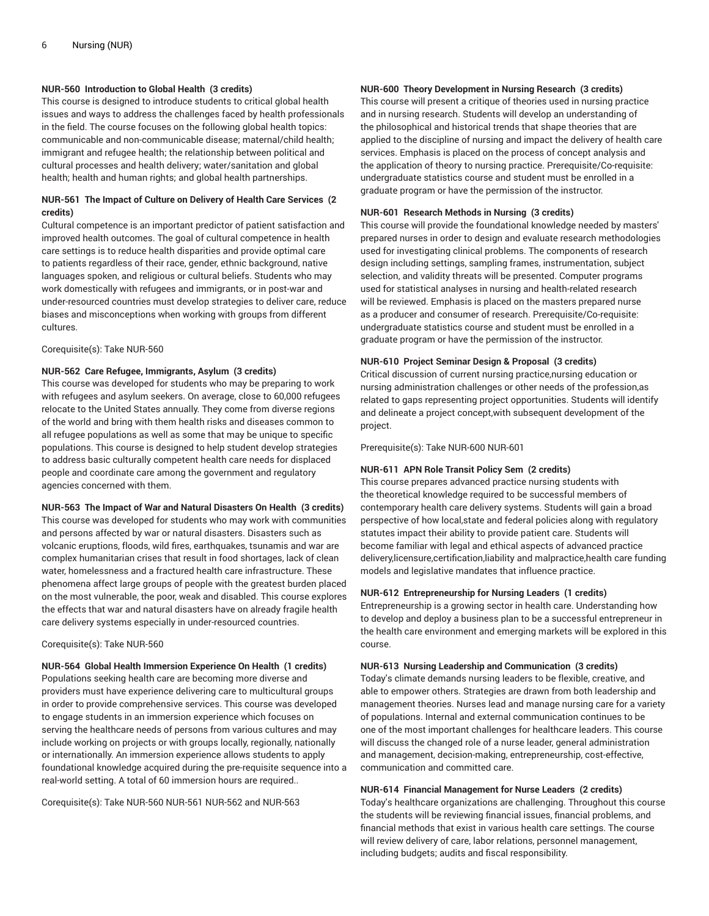# **NUR-560 Introduction to Global Health (3 credits)**

This course is designed to introduce students to critical global health issues and ways to address the challenges faced by health professionals in the field. The course focuses on the following global health topics: communicable and non-communicable disease; maternal/child health; immigrant and refugee health; the relationship between political and cultural processes and health delivery; water/sanitation and global health; health and human rights; and global health partnerships.

# **NUR-561 The Impact of Culture on Delivery of Health Care Services (2 credits)**

Cultural competence is an important predictor of patient satisfaction and improved health outcomes. The goal of cultural competence in health care settings is to reduce health disparities and provide optimal care to patients regardless of their race, gender, ethnic background, native languages spoken, and religious or cultural beliefs. Students who may work domestically with refugees and immigrants, or in post-war and under-resourced countries must develop strategies to deliver care, reduce biases and misconceptions when working with groups from different cultures.

#### Corequisite(s): Take NUR-560

#### **NUR-562 Care Refugee, Immigrants, Asylum (3 credits)**

This course was developed for students who may be preparing to work with refugees and asylum seekers. On average, close to 60,000 refugees relocate to the United States annually. They come from diverse regions of the world and bring with them health risks and diseases common to all refugee populations as well as some that may be unique to specific populations. This course is designed to help student develop strategies to address basic culturally competent health care needs for displaced people and coordinate care among the government and regulatory agencies concerned with them.

#### **NUR-563 The Impact of War and Natural Disasters On Health (3 credits)**

This course was developed for students who may work with communities and persons affected by war or natural disasters. Disasters such as volcanic eruptions, floods, wild fires, earthquakes, tsunamis and war are complex humanitarian crises that result in food shortages, lack of clean water, homelessness and a fractured health care infrastructure. These phenomena affect large groups of people with the greatest burden placed on the most vulnerable, the poor, weak and disabled. This course explores the effects that war and natural disasters have on already fragile health care delivery systems especially in under-resourced countries.

#### Corequisite(s): Take NUR-560

**NUR-564 Global Health Immersion Experience On Health (1 credits)** Populations seeking health care are becoming more diverse and providers must have experience delivering care to multicultural groups in order to provide comprehensive services. This course was developed to engage students in an immersion experience which focuses on serving the healthcare needs of persons from various cultures and may include working on projects or with groups locally, regionally, nationally or internationally. An immersion experience allows students to apply foundational knowledge acquired during the pre-requisite sequence into a real-world setting. A total of 60 immersion hours are required..

Corequisite(s): Take NUR-560 NUR-561 NUR-562 and NUR-563

# **NUR-600 Theory Development in Nursing Research (3 credits)**

This course will present a critique of theories used in nursing practice and in nursing research. Students will develop an understanding of the philosophical and historical trends that shape theories that are applied to the discipline of nursing and impact the delivery of health care services. Emphasis is placed on the process of concept analysis and the application of theory to nursing practice. Prerequisite/Co-requisite: undergraduate statistics course and student must be enrolled in a graduate program or have the permission of the instructor.

#### **NUR-601 Research Methods in Nursing (3 credits)**

This course will provide the foundational knowledge needed by masters' prepared nurses in order to design and evaluate research methodologies used for investigating clinical problems. The components of research design including settings, sampling frames, instrumentation, subject selection, and validity threats will be presented. Computer programs used for statistical analyses in nursing and health-related research will be reviewed. Emphasis is placed on the masters prepared nurse as a producer and consumer of research. Prerequisite/Co-requisite: undergraduate statistics course and student must be enrolled in a graduate program or have the permission of the instructor.

#### **NUR-610 Project Seminar Design & Proposal (3 credits)**

Critical discussion of current nursing practice,nursing education or nursing administration challenges or other needs of the profession,as related to gaps representing project opportunities. Students will identify and delineate a project concept,with subsequent development of the project.

Prerequisite(s): Take NUR-600 NUR-601

#### **NUR-611 APN Role Transit Policy Sem (2 credits)**

This course prepares advanced practice nursing students with the theoretical knowledge required to be successful members of contemporary health care delivery systems. Students will gain a broad perspective of how local,state and federal policies along with regulatory statutes impact their ability to provide patient care. Students will become familiar with legal and ethical aspects of advanced practice delivery,licensure,certification,liability and malpractice,health care funding models and legislative mandates that influence practice.

#### **NUR-612 Entrepreneurship for Nursing Leaders (1 credits)**

Entrepreneurship is a growing sector in health care. Understanding how to develop and deploy a business plan to be a successful entrepreneur in the health care environment and emerging markets will be explored in this course.

#### **NUR-613 Nursing Leadership and Communication (3 credits)**

Today's climate demands nursing leaders to be flexible, creative, and able to empower others. Strategies are drawn from both leadership and management theories. Nurses lead and manage nursing care for a variety of populations. Internal and external communication continues to be one of the most important challenges for healthcare leaders. This course will discuss the changed role of a nurse leader, general administration and management, decision-making, entrepreneurship, cost-effective, communication and committed care.

#### **NUR-614 Financial Management for Nurse Leaders (2 credits)**

Today's healthcare organizations are challenging. Throughout this course the students will be reviewing financial issues, financial problems, and financial methods that exist in various health care settings. The course will review delivery of care, labor relations, personnel management, including budgets; audits and fiscal responsibility.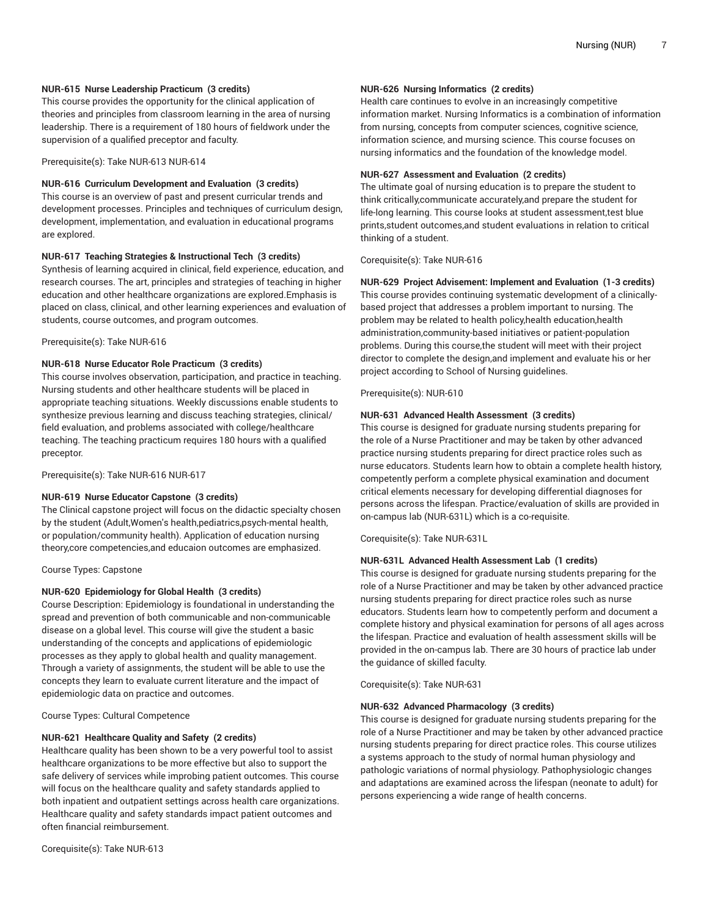## **NUR-615 Nurse Leadership Practicum (3 credits)**

This course provides the opportunity for the clinical application of theories and principles from classroom learning in the area of nursing leadership. There is a requirement of 180 hours of fieldwork under the supervision of a qualified preceptor and faculty.

Prerequisite(s): Take NUR-613 NUR-614

### **NUR-616 Curriculum Development and Evaluation (3 credits)**

This course is an overview of past and present curricular trends and development processes. Principles and techniques of curriculum design, development, implementation, and evaluation in educational programs are explored.

### **NUR-617 Teaching Strategies & Instructional Tech (3 credits)**

Synthesis of learning acquired in clinical, field experience, education, and research courses. The art, principles and strategies of teaching in higher education and other healthcare organizations are explored.Emphasis is placed on class, clinical, and other learning experiences and evaluation of students, course outcomes, and program outcomes.

Prerequisite(s): Take NUR-616

### **NUR-618 Nurse Educator Role Practicum (3 credits)**

This course involves observation, participation, and practice in teaching. Nursing students and other healthcare students will be placed in appropriate teaching situations. Weekly discussions enable students to synthesize previous learning and discuss teaching strategies, clinical/ field evaluation, and problems associated with college/healthcare teaching. The teaching practicum requires 180 hours with a qualified preceptor.

Prerequisite(s): Take NUR-616 NUR-617

#### **NUR-619 Nurse Educator Capstone (3 credits)**

The Clinical capstone project will focus on the didactic specialty chosen by the student (Adult,Women's health,pediatrics,psych-mental health, or population/community health). Application of education nursing theory,core competencies,and educaion outcomes are emphasized.

Course Types: Capstone

## **NUR-620 Epidemiology for Global Health (3 credits)**

Course Description: Epidemiology is foundational in understanding the spread and prevention of both communicable and non-communicable disease on a global level. This course will give the student a basic understanding of the concepts and applications of epidemiologic processes as they apply to global health and quality management. Through a variety of assignments, the student will be able to use the concepts they learn to evaluate current literature and the impact of epidemiologic data on practice and outcomes.

Course Types: Cultural Competence

#### **NUR-621 Healthcare Quality and Safety (2 credits)**

Healthcare quality has been shown to be a very powerful tool to assist healthcare organizations to be more effective but also to support the safe delivery of services while improbing patient outcomes. This course will focus on the healthcare quality and safety standards applied to both inpatient and outpatient settings across health care organizations. Healthcare quality and safety standards impact patient outcomes and often financial reimbursement.

## **NUR-626 Nursing Informatics (2 credits)**

Health care continues to evolve in an increasingly competitive information market. Nursing Informatics is a combination of information from nursing, concepts from computer sciences, cognitive science, information science, and mursing science. This course focuses on nursing informatics and the foundation of the knowledge model.

#### **NUR-627 Assessment and Evaluation (2 credits)**

The ultimate goal of nursing education is to prepare the student to think critically,communicate accurately,and prepare the student for life-long learning. This course looks at student assessment,test blue prints,student outcomes,and student evaluations in relation to critical thinking of a student.

Corequisite(s): Take NUR-616

#### **NUR-629 Project Advisement: Implement and Evaluation (1-3 credits)**

This course provides continuing systematic development of a clinicallybased project that addresses a problem important to nursing. The problem may be related to health policy,health education,health administration,community-based initiatives or patient-population problems. During this course,the student will meet with their project director to complete the design,and implement and evaluate his or her project according to School of Nursing guidelines.

Prerequisite(s): NUR-610

### **NUR-631 Advanced Health Assessment (3 credits)**

This course is designed for graduate nursing students preparing for the role of a Nurse Practitioner and may be taken by other advanced practice nursing students preparing for direct practice roles such as nurse educators. Students learn how to obtain a complete health history, competently perform a complete physical examination and document critical elements necessary for developing differential diagnoses for persons across the lifespan. Practice/evaluation of skills are provided in on-campus lab (NUR-631L) which is a co-requisite.

Corequisite(s): Take NUR-631L

## **NUR-631L Advanced Health Assessment Lab (1 credits)**

This course is designed for graduate nursing students preparing for the role of a Nurse Practitioner and may be taken by other advanced practice nursing students preparing for direct practice roles such as nurse educators. Students learn how to competently perform and document a complete history and physical examination for persons of all ages across the lifespan. Practice and evaluation of health assessment skills will be provided in the on-campus lab. There are 30 hours of practice lab under the guidance of skilled faculty.

Corequisite(s): Take NUR-631

# **NUR-632 Advanced Pharmacology (3 credits)**

This course is designed for graduate nursing students preparing for the role of a Nurse Practitioner and may be taken by other advanced practice nursing students preparing for direct practice roles. This course utilizes a systems approach to the study of normal human physiology and pathologic variations of normal physiology. Pathophysiologic changes and adaptations are examined across the lifespan (neonate to adult) for persons experiencing a wide range of health concerns.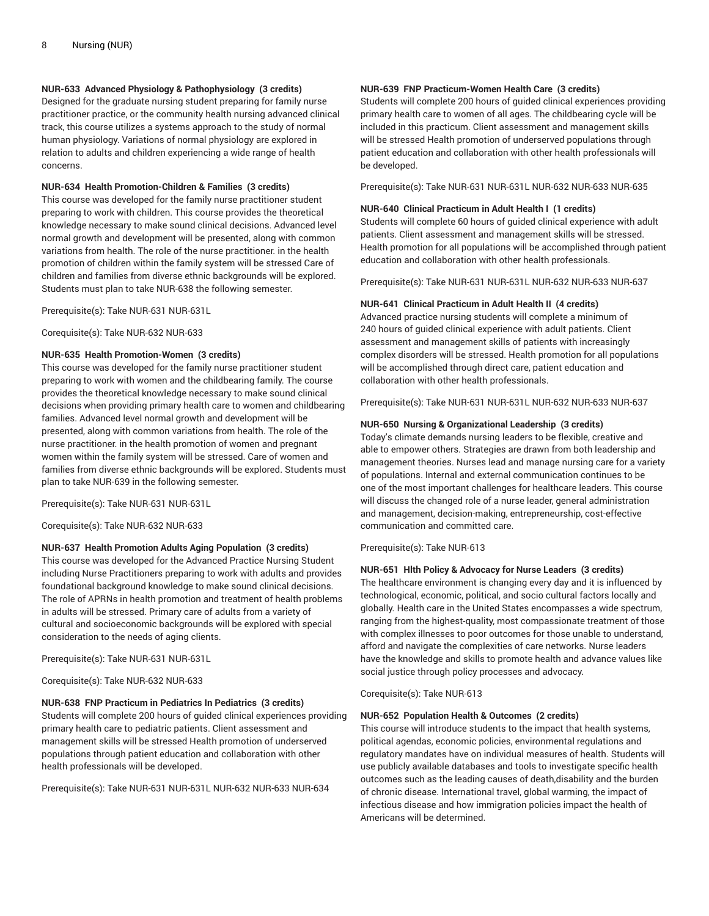# **NUR-633 Advanced Physiology & Pathophysiology (3 credits)**

Designed for the graduate nursing student preparing for family nurse practitioner practice, or the community health nursing advanced clinical track, this course utilizes a systems approach to the study of normal human physiology. Variations of normal physiology are explored in relation to adults and children experiencing a wide range of health concerns.

#### **NUR-634 Health Promotion-Children & Families (3 credits)**

This course was developed for the family nurse practitioner student preparing to work with children. This course provides the theoretical knowledge necessary to make sound clinical decisions. Advanced level normal growth and development will be presented, along with common variations from health. The role of the nurse practitioner. in the health promotion of children within the family system will be stressed Care of children and families from diverse ethnic backgrounds will be explored. Students must plan to take NUR-638 the following semester.

Prerequisite(s): Take NUR-631 NUR-631L

Corequisite(s): Take NUR-632 NUR-633

## **NUR-635 Health Promotion-Women (3 credits)**

This course was developed for the family nurse practitioner student preparing to work with women and the childbearing family. The course provides the theoretical knowledge necessary to make sound clinical decisions when providing primary health care to women and childbearing families. Advanced level normal growth and development will be presented, along with common variations from health. The role of the nurse practitioner. in the health promotion of women and pregnant women within the family system will be stressed. Care of women and families from diverse ethnic backgrounds will be explored. Students must plan to take NUR-639 in the following semester.

Prerequisite(s): Take NUR-631 NUR-631L

Corequisite(s): Take NUR-632 NUR-633

## **NUR-637 Health Promotion Adults Aging Population (3 credits)**

This course was developed for the Advanced Practice Nursing Student including Nurse Practitioners preparing to work with adults and provides foundational background knowledge to make sound clinical decisions. The role of APRNs in health promotion and treatment of health problems in adults will be stressed. Primary care of adults from a variety of cultural and socioeconomic backgrounds will be explored with special consideration to the needs of aging clients.

Prerequisite(s): Take NUR-631 NUR-631L

Corequisite(s): Take NUR-632 NUR-633

## **NUR-638 FNP Practicum in Pediatrics In Pediatrics (3 credits)**

Students will complete 200 hours of guided clinical experiences providing primary health care to pediatric patients. Client assessment and management skills will be stressed Health promotion of underserved populations through patient education and collaboration with other health professionals will be developed.

Prerequisite(s): Take NUR-631 NUR-631L NUR-632 NUR-633 NUR-634

## **NUR-639 FNP Practicum-Women Health Care (3 credits)**

Students will complete 200 hours of guided clinical experiences providing primary health care to women of all ages. The childbearing cycle will be included in this practicum. Client assessment and management skills will be stressed Health promotion of underserved populations through patient education and collaboration with other health professionals will be developed.

Prerequisite(s): Take NUR-631 NUR-631L NUR-632 NUR-633 NUR-635

#### **NUR-640 Clinical Practicum in Adult Health I (1 credits)**

Students will complete 60 hours of guided clinical experience with adult patients. Client assessment and management skills will be stressed. Health promotion for all populations will be accomplished through patient education and collaboration with other health professionals.

Prerequisite(s): Take NUR-631 NUR-631L NUR-632 NUR-633 NUR-637

#### **NUR-641 Clinical Practicum in Adult Health II (4 credits)**

Advanced practice nursing students will complete a minimum of 240 hours of guided clinical experience with adult patients. Client assessment and management skills of patients with increasingly complex disorders will be stressed. Health promotion for all populations will be accomplished through direct care, patient education and collaboration with other health professionals.

Prerequisite(s): Take NUR-631 NUR-631L NUR-632 NUR-633 NUR-637

#### **NUR-650 Nursing & Organizational Leadership (3 credits)**

Today's climate demands nursing leaders to be flexible, creative and able to empower others. Strategies are drawn from both leadership and management theories. Nurses lead and manage nursing care for a variety of populations. Internal and external communication continues to be one of the most important challenges for healthcare leaders. This course will discuss the changed role of a nurse leader, general administration and management, decision-making, entrepreneurship, cost-effective communication and committed care.

Prerequisite(s): Take NUR-613

# **NUR-651 Hlth Policy & Advocacy for Nurse Leaders (3 credits)**

The healthcare environment is changing every day and it is influenced by technological, economic, political, and socio cultural factors locally and globally. Health care in the United States encompasses a wide spectrum, ranging from the highest-quality, most compassionate treatment of those with complex illnesses to poor outcomes for those unable to understand, afford and navigate the complexities of care networks. Nurse leaders have the knowledge and skills to promote health and advance values like social justice through policy processes and advocacy.

Corequisite(s): Take NUR-613

### **NUR-652 Population Health & Outcomes (2 credits)**

This course will introduce students to the impact that health systems, political agendas, economic policies, environmental regulations and regulatory mandates have on individual measures of health. Students will use publicly available databases and tools to investigate specific health outcomes such as the leading causes of death,disability and the burden of chronic disease. International travel, global warming, the impact of infectious disease and how immigration policies impact the health of Americans will be determined.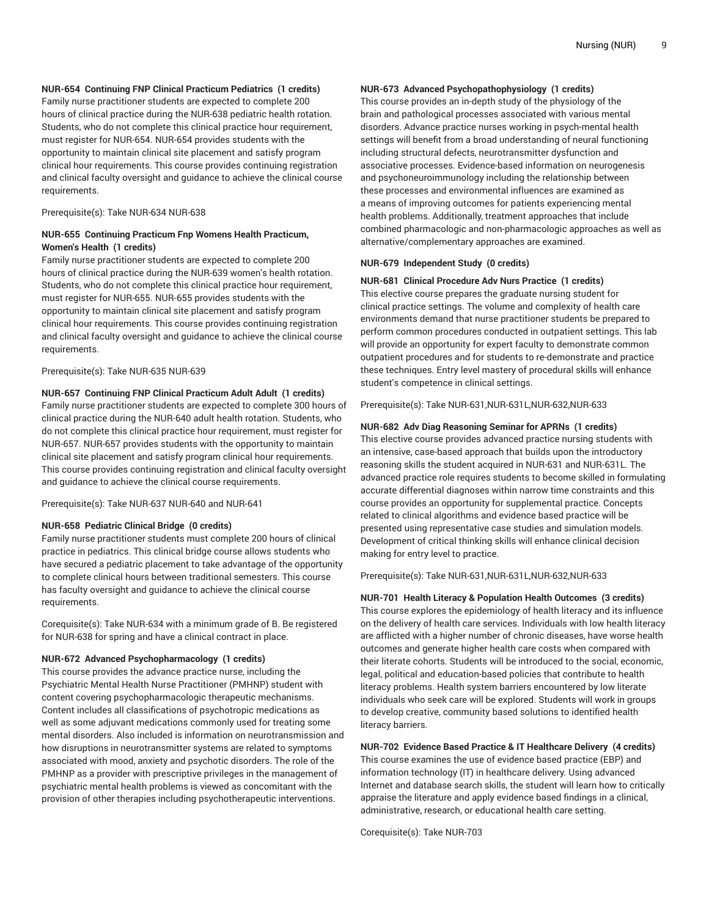# **NUR-654 Continuing FNP Clinical Practicum Pediatrics (1 credits)**

Family nurse practitioner students are expected to complete 200 hours of clinical practice during the NUR-638 pediatric health rotation. Students, who do not complete this clinical practice hour requirement, must register for NUR-654. NUR-654 provides students with the opportunity to maintain clinical site placement and satisfy program clinical hour requirements. This course provides continuing registration and clinical faculty oversight and guidance to achieve the clinical course requirements.

Prerequisite(s): Take NUR-634 NUR-638

## **NUR-655 Continuing Practicum Fnp Womens Health Practicum, Women's Health (1 credits)**

Family nurse practitioner students are expected to complete 200 hours of clinical practice during the NUR-639 women's health rotation. Students, who do not complete this clinical practice hour requirement, must register for NUR-655. NUR-655 provides students with the opportunity to maintain clinical site placement and satisfy program clinical hour requirements. This course provides continuing registration and clinical faculty oversight and guidance to achieve the clinical course requirements.

Prerequisite(s): Take NUR-635 NUR-639

#### **NUR-657 Continuing FNP Clinical Practicum Adult Adult (1 credits)**

Family nurse practitioner students are expected to complete 300 hours of clinical practice during the NUR-640 adult health rotation. Students, who do not complete this clinical practice hour requirement, must register for NUR-657. NUR-657 provides students with the opportunity to maintain clinical site placement and satisfy program clinical hour requirements. This course provides continuing registration and clinical faculty oversight and guidance to achieve the clinical course requirements.

Prerequisite(s): Take NUR-637 NUR-640 and NUR-641

#### **NUR-658 Pediatric Clinical Bridge (0 credits)**

Family nurse practitioner students must complete 200 hours of clinical practice in pediatrics. This clinical bridge course allows students who have secured a pediatric placement to take advantage of the opportunity to complete clinical hours between traditional semesters. This course has faculty oversight and guidance to achieve the clinical course requirements.

Corequisite(s): Take NUR-634 with a minimum grade of B. Be registered for NUR-638 for spring and have a clinical contract in place.

#### **NUR-672 Advanced Psychopharmacology (1 credits)**

This course provides the advance practice nurse, including the Psychiatric Mental Health Nurse Practitioner (PMHNP) student with content covering psychopharmacologic therapeutic mechanisms. Content includes all classifications of psychotropic medications as well as some adjuvant medications commonly used for treating some mental disorders. Also included is information on neurotransmission and how disruptions in neurotransmitter systems are related to symptoms associated with mood, anxiety and psychotic disorders. The role of the PMHNP as a provider with prescriptive privileges in the management of psychiatric mental health problems is viewed as concomitant with the provision of other therapies including psychotherapeutic interventions.

## **NUR-673 Advanced Psychopathophysiology (1 credits)**

This course provides an in-depth study of the physiology of the brain and pathological processes associated with various mental disorders. Advance practice nurses working in psych-mental health settings will benefit from a broad understanding of neural functioning including structural defects, neurotransmitter dysfunction and associative processes. Evidence-based information on neurogenesis and psychoneuroimmunology including the relationship between these processes and environmental influences are examined as a means of improving outcomes for patients experiencing mental health problems. Additionally, treatment approaches that include combined pharmacologic and non-pharmacologic approaches as well as alternative/complementary approaches are examined.

#### **NUR-679 Independent Study (0 credits)**

## **NUR-681 Clinical Procedure Adv Nurs Practice (1 credits)**

This elective course prepares the graduate nursing student for clinical practice settings. The volume and complexity of health care environments demand that nurse practitioner students be prepared to perform common procedures conducted in outpatient settings. This lab will provide an opportunity for expert faculty to demonstrate common outpatient procedures and for students to re-demonstrate and practice these techniques. Entry level mastery of procedural skills will enhance student's competence in clinical settings.

Prerequisite(s): Take NUR-631,NUR-631L,NUR-632,NUR-633

#### **NUR-682 Adv Diag Reasoning Seminar for APRNs (1 credits)**

This elective course provides advanced practice nursing students with an intensive, case-based approach that builds upon the introductory reasoning skills the student acquired in NUR-631 and NUR-631L. The advanced practice role requires students to become skilled in formulating accurate differential diagnoses within narrow time constraints and this course provides an opportunity for supplemental practice. Concepts related to clinical algorithms and evidence based practice will be presented using representative case studies and simulation models. Development of critical thinking skills will enhance clinical decision making for entry level to practice.

Prerequisite(s): Take NUR-631,NUR-631L,NUR-632,NUR-633

**NUR-701 Health Literacy & Population Health Outcomes (3 credits)** This course explores the epidemiology of health literacy and its influence on the delivery of health care services. Individuals with low health literacy are afflicted with a higher number of chronic diseases, have worse health outcomes and generate higher health care costs when compared with their literate cohorts. Students will be introduced to the social, economic, legal, political and education-based policies that contribute to health literacy problems. Health system barriers encountered by low literate individuals who seek care will be explored. Students will work in groups to develop creative, community based solutions to identified health literacy barriers.

**NUR-702 Evidence Based Practice & IT Healthcare Delivery (4 credits)** This course examines the use of evidence based practice (EBP) and information technology (IT) in healthcare delivery. Using advanced Internet and database search skills, the student will learn how to critically appraise the literature and apply evidence based findings in a clinical, administrative, research, or educational health care setting.

Corequisite(s): Take NUR-703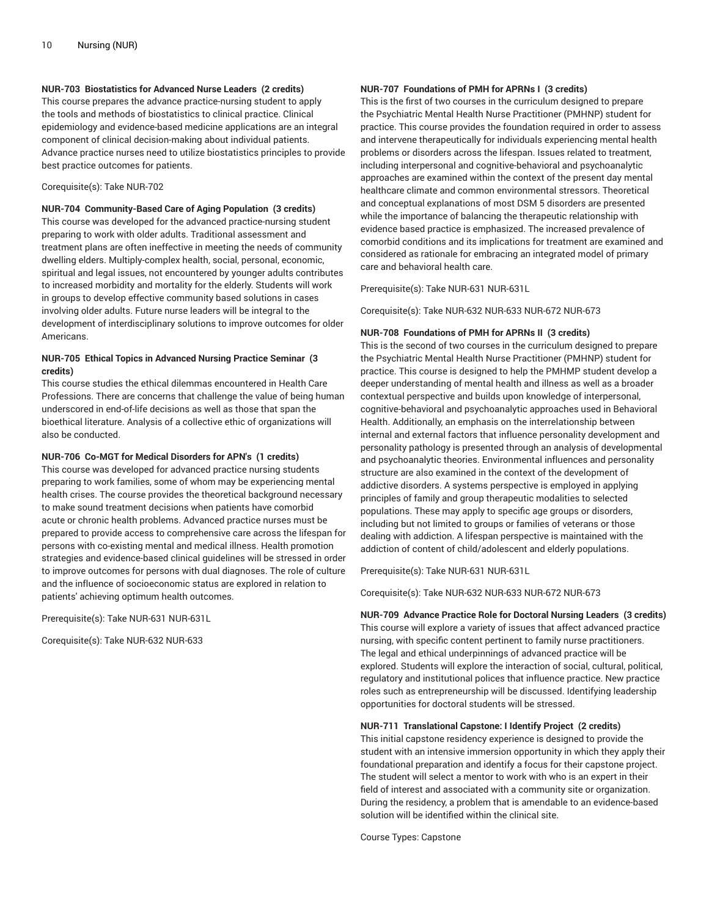# **NUR-703 Biostatistics for Advanced Nurse Leaders (2 credits)**

This course prepares the advance practice-nursing student to apply the tools and methods of biostatistics to clinical practice. Clinical epidemiology and evidence-based medicine applications are an integral component of clinical decision-making about individual patients. Advance practice nurses need to utilize biostatistics principles to provide best practice outcomes for patients.

#### Corequisite(s): Take NUR-702

**NUR-704 Community-Based Care of Aging Population (3 credits)** This course was developed for the advanced practice-nursing student preparing to work with older adults. Traditional assessment and treatment plans are often ineffective in meeting the needs of community dwelling elders. Multiply-complex health, social, personal, economic, spiritual and legal issues, not encountered by younger adults contributes to increased morbidity and mortality for the elderly. Students will work in groups to develop effective community based solutions in cases involving older adults. Future nurse leaders will be integral to the development of interdisciplinary solutions to improve outcomes for older Americans.

# **NUR-705 Ethical Topics in Advanced Nursing Practice Seminar (3 credits)**

This course studies the ethical dilemmas encountered in Health Care Professions. There are concerns that challenge the value of being human underscored in end-of-life decisions as well as those that span the bioethical literature. Analysis of a collective ethic of organizations will also be conducted.

# **NUR-706 Co-MGT for Medical Disorders for APN's (1 credits)**

This course was developed for advanced practice nursing students preparing to work families, some of whom may be experiencing mental health crises. The course provides the theoretical background necessary to make sound treatment decisions when patients have comorbid acute or chronic health problems. Advanced practice nurses must be prepared to provide access to comprehensive care across the lifespan for persons with co-existing mental and medical illness. Health promotion strategies and evidence-based clinical guidelines will be stressed in order to improve outcomes for persons with dual diagnoses. The role of culture and the influence of socioeconomic status are explored in relation to patients' achieving optimum health outcomes.

Prerequisite(s): Take NUR-631 NUR-631L

Corequisite(s): Take NUR-632 NUR-633

## **NUR-707 Foundations of PMH for APRNs I (3 credits)**

This is the first of two courses in the curriculum designed to prepare the Psychiatric Mental Health Nurse Practitioner (PMHNP) student for practice. This course provides the foundation required in order to assess and intervene therapeutically for individuals experiencing mental health problems or disorders across the lifespan. Issues related to treatment, including interpersonal and cognitive-behavioral and psychoanalytic approaches are examined within the context of the present day mental healthcare climate and common environmental stressors. Theoretical and conceptual explanations of most DSM 5 disorders are presented while the importance of balancing the therapeutic relationship with evidence based practice is emphasized. The increased prevalence of comorbid conditions and its implications for treatment are examined and considered as rationale for embracing an integrated model of primary care and behavioral health care.

Prerequisite(s): Take NUR-631 NUR-631L

Corequisite(s): Take NUR-632 NUR-633 NUR-672 NUR-673

## **NUR-708 Foundations of PMH for APRNs II (3 credits)**

This is the second of two courses in the curriculum designed to prepare the Psychiatric Mental Health Nurse Practitioner (PMHNP) student for practice. This course is designed to help the PMHMP student develop a deeper understanding of mental health and illness as well as a broader contextual perspective and builds upon knowledge of interpersonal, cognitive-behavioral and psychoanalytic approaches used in Behavioral Health. Additionally, an emphasis on the interrelationship between internal and external factors that influence personality development and personality pathology is presented through an analysis of developmental and psychoanalytic theories. Environmental influences and personality structure are also examined in the context of the development of addictive disorders. A systems perspective is employed in applying principles of family and group therapeutic modalities to selected populations. These may apply to specific age groups or disorders, including but not limited to groups or families of veterans or those dealing with addiction. A lifespan perspective is maintained with the addiction of content of child/adolescent and elderly populations.

Prerequisite(s): Take NUR-631 NUR-631L

Corequisite(s): Take NUR-632 NUR-633 NUR-672 NUR-673

# **NUR-709 Advance Practice Role for Doctoral Nursing Leaders (3 credits)**

This course will explore a variety of issues that affect advanced practice nursing, with specific content pertinent to family nurse practitioners. The legal and ethical underpinnings of advanced practice will be explored. Students will explore the interaction of social, cultural, political, regulatory and institutional polices that influence practice. New practice roles such as entrepreneurship will be discussed. Identifying leadership opportunities for doctoral students will be stressed.

## **NUR-711 Translational Capstone: I Identify Project (2 credits)**

This initial capstone residency experience is designed to provide the student with an intensive immersion opportunity in which they apply their foundational preparation and identify a focus for their capstone project. The student will select a mentor to work with who is an expert in their field of interest and associated with a community site or organization. During the residency, a problem that is amendable to an evidence-based solution will be identified within the clinical site.

Course Types: Capstone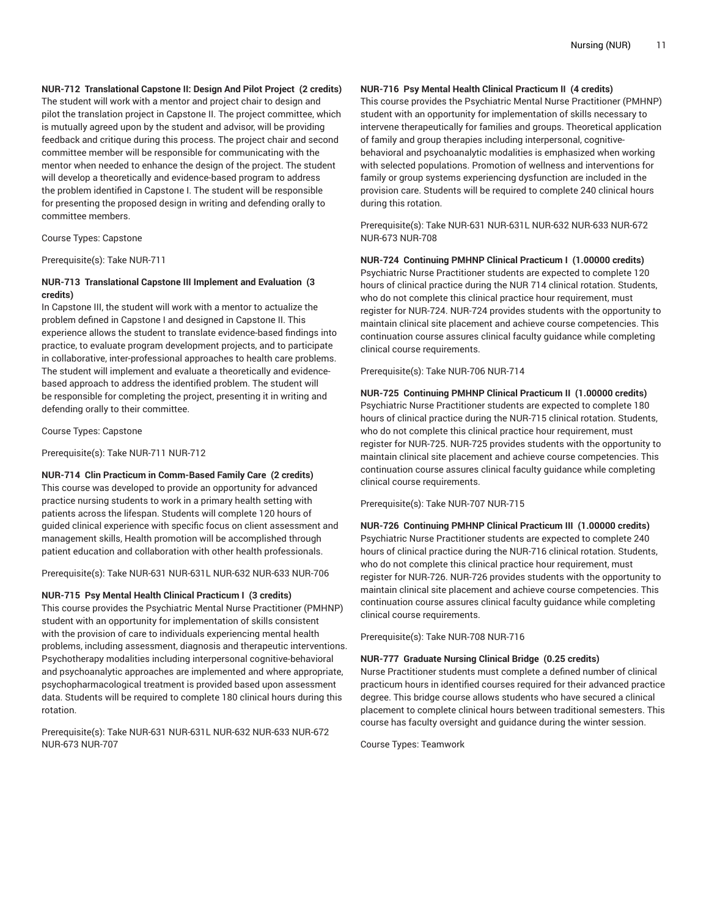# **NUR-712 Translational Capstone II: Design And Pilot Project (2 credits)**

The student will work with a mentor and project chair to design and pilot the translation project in Capstone II. The project committee, which is mutually agreed upon by the student and advisor, will be providing feedback and critique during this process. The project chair and second committee member will be responsible for communicating with the mentor when needed to enhance the design of the project. The student will develop a theoretically and evidence-based program to address the problem identified in Capstone I. The student will be responsible for presenting the proposed design in writing and defending orally to committee members.

Course Types: Capstone

Prerequisite(s): Take NUR-711

## **NUR-713 Translational Capstone III Implement and Evaluation (3 credits)**

In Capstone III, the student will work with a mentor to actualize the problem defined in Capstone I and designed in Capstone II. This experience allows the student to translate evidence-based findings into practice, to evaluate program development projects, and to participate in collaborative, inter-professional approaches to health care problems. The student will implement and evaluate a theoretically and evidencebased approach to address the identified problem. The student will be responsible for completing the project, presenting it in writing and defending orally to their committee.

Course Types: Capstone

Prerequisite(s): Take NUR-711 NUR-712

**NUR-714 Clin Practicum in Comm-Based Family Care (2 credits)** This course was developed to provide an opportunity for advanced practice nursing students to work in a primary health setting with patients across the lifespan. Students will complete 120 hours of guided clinical experience with specific focus on client assessment and management skills, Health promotion will be accomplished through patient education and collaboration with other health professionals.

Prerequisite(s): Take NUR-631 NUR-631L NUR-632 NUR-633 NUR-706

#### **NUR-715 Psy Mental Health Clinical Practicum I (3 credits)**

This course provides the Psychiatric Mental Nurse Practitioner (PMHNP) student with an opportunity for implementation of skills consistent with the provision of care to individuals experiencing mental health problems, including assessment, diagnosis and therapeutic interventions. Psychotherapy modalities including interpersonal cognitive-behavioral and psychoanalytic approaches are implemented and where appropriate, psychopharmacological treatment is provided based upon assessment data. Students will be required to complete 180 clinical hours during this rotation.

Prerequisite(s): Take NUR-631 NUR-631L NUR-632 NUR-633 NUR-672 NUR-673 NUR-707

## **NUR-716 Psy Mental Health Clinical Practicum II (4 credits)**

This course provides the Psychiatric Mental Nurse Practitioner (PMHNP) student with an opportunity for implementation of skills necessary to intervene therapeutically for families and groups. Theoretical application of family and group therapies including interpersonal, cognitivebehavioral and psychoanalytic modalities is emphasized when working with selected populations. Promotion of wellness and interventions for family or group systems experiencing dysfunction are included in the provision care. Students will be required to complete 240 clinical hours during this rotation.

Prerequisite(s): Take NUR-631 NUR-631L NUR-632 NUR-633 NUR-672 NUR-673 NUR-708

## **NUR-724 Continuing PMHNP Clinical Practicum I (1.00000 credits)**

Psychiatric Nurse Practitioner students are expected to complete 120 hours of clinical practice during the NUR 714 clinical rotation. Students, who do not complete this clinical practice hour requirement, must register for NUR-724. NUR-724 provides students with the opportunity to maintain clinical site placement and achieve course competencies. This continuation course assures clinical faculty guidance while completing clinical course requirements.

Prerequisite(s): Take NUR-706 NUR-714

#### **NUR-725 Continuing PMHNP Clinical Practicum II (1.00000 credits)**

Psychiatric Nurse Practitioner students are expected to complete 180 hours of clinical practice during the NUR-715 clinical rotation. Students, who do not complete this clinical practice hour requirement, must register for NUR-725. NUR-725 provides students with the opportunity to maintain clinical site placement and achieve course competencies. This continuation course assures clinical faculty guidance while completing clinical course requirements.

Prerequisite(s): Take NUR-707 NUR-715

**NUR-726 Continuing PMHNP Clinical Practicum III (1.00000 credits)** Psychiatric Nurse Practitioner students are expected to complete 240 hours of clinical practice during the NUR-716 clinical rotation. Students, who do not complete this clinical practice hour requirement, must register for NUR-726. NUR-726 provides students with the opportunity to maintain clinical site placement and achieve course competencies. This continuation course assures clinical faculty guidance while completing clinical course requirements.

Prerequisite(s): Take NUR-708 NUR-716

#### **NUR-777 Graduate Nursing Clinical Bridge (0.25 credits)**

Nurse Practitioner students must complete a defined number of clinical practicum hours in identified courses required for their advanced practice degree. This bridge course allows students who have secured a clinical placement to complete clinical hours between traditional semesters. This course has faculty oversight and guidance during the winter session.

Course Types: Teamwork